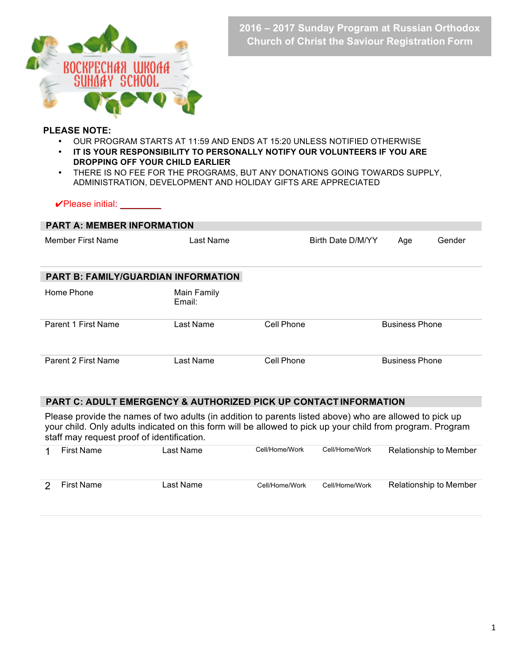

### **PLEASE NOTE:**

- OUR PROGRAM STARTS AT 11:59 AND ENDS AT 15:20 UNLESS NOTIFIED OTHERWISE
- **IT IS YOUR RESPONSIBILITY TO PERSONALLY NOTIFY OUR VOLUNTEERS IF YOU ARE DROPPING OFF YOUR CHILD EARLIER**
- THERE IS NO FEE FOR THE PROGRAMS, BUT ANY DONATIONS GOING TOWARDS SUPPLY, ADMINISTRATION, DEVELOPMENT AND HOLIDAY GIFTS ARE APPRECIATED

### ✔Please initial: \_\_\_\_\_\_\_\_

| <b>PART A: MEMBER INFORMATION</b>          |                       |                   |                       |        |  |  |  |  |
|--------------------------------------------|-----------------------|-------------------|-----------------------|--------|--|--|--|--|
| Member First Name                          | Last Name             | Birth Date D/M/YY | Age                   | Gender |  |  |  |  |
| <b>PART B: FAMILY/GUARDIAN INFORMATION</b> |                       |                   |                       |        |  |  |  |  |
| Home Phone                                 | Main Family<br>Email: |                   |                       |        |  |  |  |  |
| Parent 1 First Name                        | Last Name             | Cell Phone        | <b>Business Phone</b> |        |  |  |  |  |
| Parent 2 First Name                        | <sub>-</sub> ast Name | Cell Phone        | <b>Business Phone</b> |        |  |  |  |  |

# **PART C: ADULT EMERGENCY & AUTHORIZED PICK UP CONTACT INFORMATION**

Please provide the names of two adults (in addition to parents listed above) who are allowed to pick up your child. Only adults indicated on this form will be allowed to pick up your child from program. Program staff may request proof of identification.

| First Name        | Last Name | Cell/Home/Work | Cell/Home/Work | <b>Relationship to Member</b> |
|-------------------|-----------|----------------|----------------|-------------------------------|
| <b>First Name</b> | Last Name | Cell/Home/Work | Cell/Home/Work | Relationship to Member        |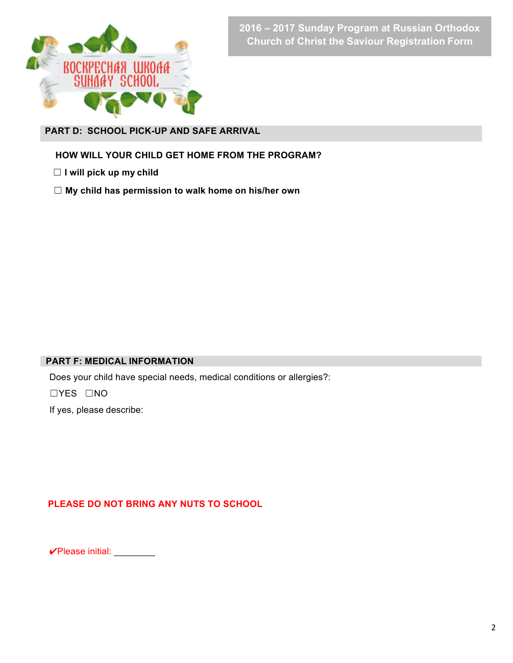

**PART D: SCHOOL PICK-UP AND SAFE ARRIVAL** 

**HOW WILL YOUR CHILD GET HOME FROM THE PROGRAM?**

 ☐ **I will pick up my child**

☐ **My child has permission to walk home on his/her own**

# **PART F: MEDICAL INFORMATION**

Does your child have special needs, medical conditions or allergies?:

☐YES ☐NO

If yes, please describe:

# **PLEASE DO NOT BRING ANY NUTS TO SCHOOL**

✔Please initial: \_\_\_\_\_\_\_\_